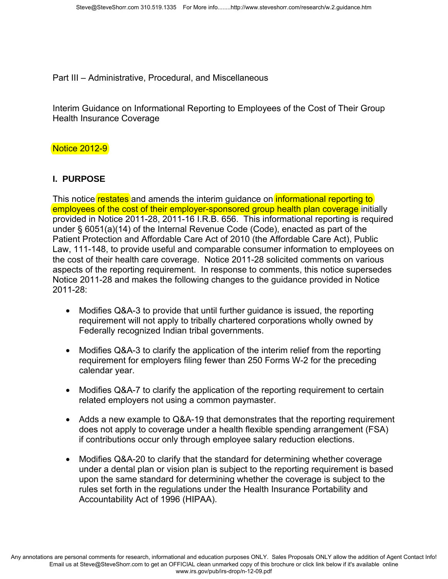Part III – Administrative, Procedural, and Miscellaneous

Interim Guidance on Informational Reporting to Employees of the Cost of Their Group Health Insurance Coverage

#### Notice 2012-9

#### **I. PURPOSE**

This notice restates and amends the interim quidance on **informational reporting to** employees of the cost of their employer-sponsored group health plan coverage initially provided in Notice 2011-28, 2011-16 I.R.B. 656. This informational reporting is required under § 6051(a)(14) of the Internal Revenue Code (Code), enacted as part of the Patient Protection and Affordable Care Act of 2010 (the Affordable Care Act), Public Law, 111-148, to provide useful and comparable consumer information to employees on the cost of their health care coverage. Notice 2011-28 solicited comments on various aspects of the reporting requirement. In response to comments, this notice supersedes Notice 2011-28 and makes the following changes to the guidance provided in Notice 2011-28:

- Modifies Q&A-3 to provide that until further guidance is issued, the reporting requirement will not apply to tribally chartered corporations wholly owned by Federally recognized Indian tribal governments.
- Modifies Q&A-3 to clarify the application of the interim relief from the reporting requirement for employers filing fewer than 250 Forms W-2 for the preceding calendar year.
- Modifies Q&A-7 to clarify the application of the reporting requirement to certain related employers not using a common paymaster.
- Adds a new example to Q&A-19 that demonstrates that the reporting requirement does not apply to coverage under a health flexible spending arrangement (FSA) if contributions occur only through employee salary reduction elections.
- Modifies Q&A-20 to clarify that the standard for determining whether coverage under a dental plan or vision plan is subject to the reporting requirement is based upon the same standard for determining whether the coverage is subject to the rules set forth in the regulations under the Health Insurance Portability and Accountability Act of 1996 (HIPAA).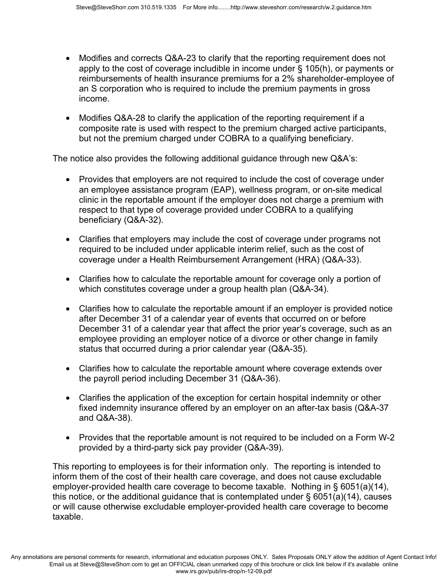- Modifies and corrects Q&A-23 to clarify that the reporting requirement does not apply to the cost of coverage includible in income under § 105(h), or payments or reimbursements of health insurance premiums for a 2% shareholder-employee of an S corporation who is required to include the premium payments in gross income.
- Modifies Q&A-28 to clarify the application of the reporting requirement if a composite rate is used with respect to the premium charged active participants, but not the premium charged under COBRA to a qualifying beneficiary.

The notice also provides the following additional guidance through new Q&A's:

- Provides that employers are not required to include the cost of coverage under an employee assistance program (EAP), wellness program, or on-site medical clinic in the reportable amount if the employer does not charge a premium with respect to that type of coverage provided under COBRA to a qualifying beneficiary (Q&A-32).
- Clarifies that employers may include the cost of coverage under programs not required to be included under applicable interim relief, such as the cost of coverage under a Health Reimbursement Arrangement (HRA) (Q&A-33).
- Clarifies how to calculate the reportable amount for coverage only a portion of which constitutes coverage under a group health plan (Q&A-34).
- Clarifies how to calculate the reportable amount if an employer is provided notice after December 31 of a calendar year of events that occurred on or before December 31 of a calendar year that affect the prior year's coverage, such as an employee providing an employer notice of a divorce or other change in family status that occurred during a prior calendar year (Q&A-35).
- Clarifies how to calculate the reportable amount where coverage extends over the payroll period including December 31 (Q&A-36).
- Clarifies the application of the exception for certain hospital indemnity or other fixed indemnity insurance offered by an employer on an after-tax basis (Q&A-37 and Q&A-38).
- Provides that the reportable amount is not required to be included on a Form W-2 provided by a third-party sick pay provider (Q&A-39).

This reporting to employees is for their information only. The reporting is intended to inform them of the cost of their health care coverage, and does not cause excludable employer-provided health care coverage to become taxable. Nothing in § 6051(a)(14), this notice, or the additional quidance that is contemplated under  $\S$  6051(a)(14), causes or will cause otherwise excludable employer-provided health care coverage to become taxable.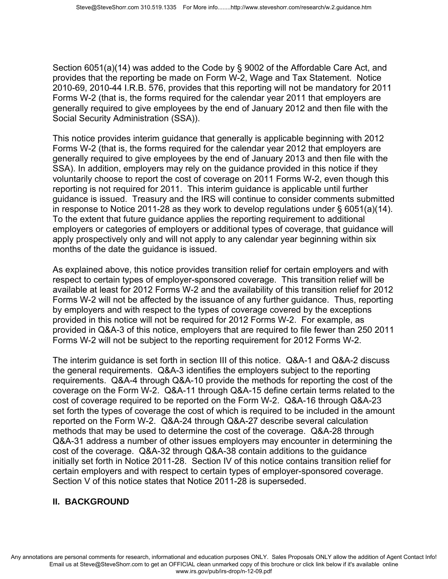Section 6051(a)(14) was added to the Code by § 9002 of the Affordable Care Act, and provides that the reporting be made on Form W-2, Wage and Tax Statement. Notice 2010-69, 2010-44 I.R.B. 576, provides that this reporting will not be mandatory for 2011 Forms W-2 (that is, the forms required for the calendar year 2011 that employers are generally required to give employees by the end of January 2012 and then file with the Social Security Administration (SSA)).

This notice provides interim guidance that generally is applicable beginning with 2012 Forms W-2 (that is, the forms required for the calendar year 2012 that employers are generally required to give employees by the end of January 2013 and then file with the SSA). In addition, employers may rely on the guidance provided in this notice if they voluntarily choose to report the cost of coverage on 2011 Forms W-2, even though this reporting is not required for 2011. This interim guidance is applicable until further guidance is issued. Treasury and the IRS will continue to consider comments submitted in response to Notice 2011-28 as they work to develop regulations under § 6051(a)(14). To the extent that future guidance applies the reporting requirement to additional employers or categories of employers or additional types of coverage, that guidance will apply prospectively only and will not apply to any calendar year beginning within six months of the date the guidance is issued.

As explained above, this notice provides transition relief for certain employers and with respect to certain types of employer-sponsored coverage. This transition relief will be available at least for 2012 Forms W-2 and the availability of this transition relief for 2012 Forms W-2 will not be affected by the issuance of any further guidance. Thus, reporting by employers and with respect to the types of coverage covered by the exceptions provided in this notice will not be required for 2012 Forms W-2. For example, as provided in Q&A-3 of this notice, employers that are required to file fewer than 250 2011 Forms W-2 will not be subject to the reporting requirement for 2012 Forms W-2.

The interim guidance is set forth in section III of this notice. Q&A-1 and Q&A-2 discuss the general requirements. Q&A-3 identifies the employers subject to the reporting requirements. Q&A-4 through Q&A-10 provide the methods for reporting the cost of the coverage on the Form W-2. Q&A-11 through Q&A-15 define certain terms related to the cost of coverage required to be reported on the Form W-2. Q&A-16 through Q&A-23 set forth the types of coverage the cost of which is required to be included in the amount reported on the Form W-2. Q&A-24 through Q&A-27 describe several calculation methods that may be used to determine the cost of the coverage. Q&A-28 through Q&A-31 address a number of other issues employers may encounter in determining the cost of the coverage. Q&A-32 through Q&A-38 contain additions to the guidance initially set forth in Notice 2011-28. Section IV of this notice contains transition relief for certain employers and with respect to certain types of employer-sponsored coverage. Section V of this notice states that Notice 2011-28 is superseded.

# **II. BACKGROUND**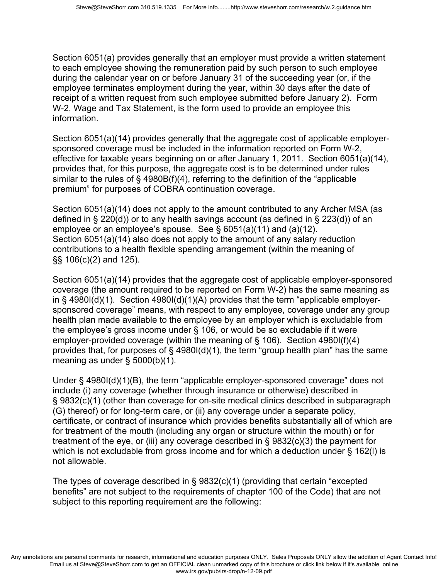Section 6051(a) provides generally that an employer must provide a written statement to each employee showing the remuneration paid by such person to such employee during the calendar year on or before January 31 of the succeeding year (or, if the employee terminates employment during the year, within 30 days after the date of receipt of a written request from such employee submitted before January 2). Form W-2, Wage and Tax Statement, is the form used to provide an employee this information.

Section 6051(a)(14) provides generally that the aggregate cost of applicable employersponsored coverage must be included in the information reported on Form W-2, effective for taxable years beginning on or after January 1, 2011. Section 6051(a)(14), provides that, for this purpose, the aggregate cost is to be determined under rules similar to the rules of  $\S$  4980B(f)(4), referring to the definition of the "applicable premium" for purposes of COBRA continuation coverage.

Section 6051(a)(14) does not apply to the amount contributed to any Archer MSA (as defined in § 220(d)) or to any health savings account (as defined in § 223(d)) of an employee or an employee's spouse. See § 6051(a)(11) and (a)(12). Section 6051(a)(14) also does not apply to the amount of any salary reduction contributions to a health flexible spending arrangement (within the meaning of §§ 106(c)(2) and 125).

Section 6051(a)(14) provides that the aggregate cost of applicable employer-sponsored coverage (the amount required to be reported on Form W-2) has the same meaning as in § 4980I(d)(1). Section 4980I(d)(1)(A) provides that the term "applicable employersponsored coverage" means, with respect to any employee, coverage under any group health plan made available to the employee by an employer which is excludable from the employee's gross income under § 106, or would be so excludable if it were employer-provided coverage (within the meaning of § 106). Section 4980I(f)(4) provides that, for purposes of § 4980I(d)(1), the term "group health plan" has the same meaning as under § 5000(b)(1).

Under § 4980I(d)(1)(B), the term "applicable employer-sponsored coverage" does not include (i) any coverage (whether through insurance or otherwise) described in § 9832(c)(1) (other than coverage for on-site medical clinics described in subparagraph (G) thereof) or for long-term care, or (ii) any coverage under a separate policy, certificate, or contract of insurance which provides benefits substantially all of which are for treatment of the mouth (including any organ or structure within the mouth) or for treatment of the eye, or (iii) any coverage described in  $\S$  9832(c)(3) the payment for which is not excludable from gross income and for which a deduction under § 162(I) is not allowable.

The types of coverage described in § 9832(c)(1) (providing that certain "excepted benefits" are not subject to the requirements of chapter 100 of the Code) that are not subject to this reporting requirement are the following: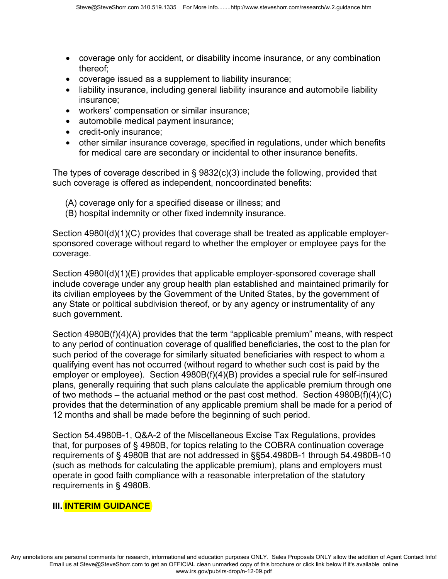- coverage only for accident, or disability income insurance, or any combination thereof;
- coverage issued as a supplement to liability insurance;
- liability insurance, including general liability insurance and automobile liability insurance;
- workers' compensation or similar insurance;
- automobile medical payment insurance;
- credit-only insurance;
- other similar insurance coverage, specified in regulations, under which benefits for medical care are secondary or incidental to other insurance benefits.

The types of coverage described in § 9832(c)(3) include the following, provided that such coverage is offered as independent, noncoordinated benefits:

- (A) coverage only for a specified disease or illness; and
- (B) hospital indemnity or other fixed indemnity insurance.

Section 4980I(d)(1)(C) provides that coverage shall be treated as applicable employersponsored coverage without regard to whether the employer or employee pays for the coverage.

Section 4980I(d)(1)(E) provides that applicable employer-sponsored coverage shall include coverage under any group health plan established and maintained primarily for its civilian employees by the Government of the United States, by the government of any State or political subdivision thereof, or by any agency or instrumentality of any such government.

Section 4980B(f)(4)(A) provides that the term "applicable premium" means, with respect to any period of continuation coverage of qualified beneficiaries, the cost to the plan for such period of the coverage for similarly situated beneficiaries with respect to whom a qualifying event has not occurred (without regard to whether such cost is paid by the employer or employee). Section 4980B(f)(4)(B) provides a special rule for self-insured plans, generally requiring that such plans calculate the applicable premium through one of two methods – the actuarial method or the past cost method. Section  $4980B(f)(4)(C)$ provides that the determination of any applicable premium shall be made for a period of 12 months and shall be made before the beginning of such period.

Section 54.4980B-1, Q&A-2 of the Miscellaneous Excise Tax Regulations, provides that, for purposes of § 4980B, for topics relating to the COBRA continuation coverage requirements of § 4980B that are not addressed in §§54.4980B-1 through 54.4980B-10 (such as methods for calculating the applicable premium), plans and employers must operate in good faith compliance with a reasonable interpretation of the statutory requirements in § 4980B.

#### **III. INTERIM GUIDANCE**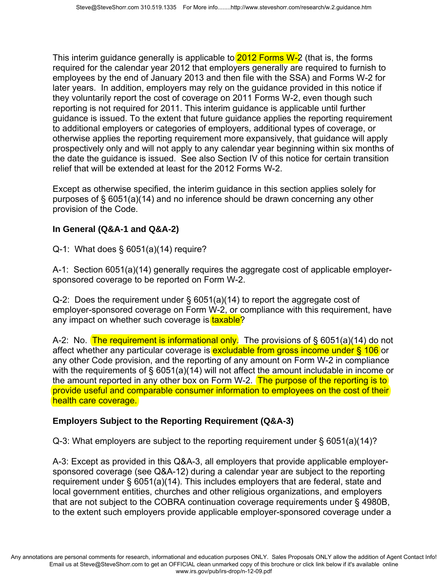This interim guidance generally is applicable to **2012 Forms W-2** (that is, the forms required for the calendar year 2012 that employers generally are required to furnish to employees by the end of January 2013 and then file with the SSA) and Forms W-2 for later years. In addition, employers may rely on the guidance provided in this notice if they voluntarily report the cost of coverage on 2011 Forms W-2, even though such reporting is not required for 2011. This interim guidance is applicable until further guidance is issued. To the extent that future guidance applies the reporting requirement to additional employers or categories of employers, additional types of coverage, or otherwise applies the reporting requirement more expansively, that guidance will apply prospectively only and will not apply to any calendar year beginning within six months of the date the guidance is issued. See also Section IV of this notice for certain transition relief that will be extended at least for the 2012 Forms W-2.

Except as otherwise specified, the interim guidance in this section applies solely for purposes of § 6051(a)(14) and no inference should be drawn concerning any other provision of the Code.

## **In General (Q&A-1 and Q&A-2)**

Q-1: What does § 6051(a)(14) require?

A-1: Section 6051(a)(14) generally requires the aggregate cost of applicable employersponsored coverage to be reported on Form W-2.

Q-2: Does the requirement under § 6051(a)(14) to report the aggregate cost of employer-sponsored coverage on Form W-2, or compliance with this requirement, have any impact on whether such coverage is taxable?

A-2: No. The requirement is informational only. The provisions of  $\S$  6051(a)(14) do not affect whether any particular coverage is excludable from gross income under § 106 or any other Code provision, and the reporting of any amount on Form W-2 in compliance with the requirements of § 6051(a)(14) will not affect the amount includable in income or the amount reported in any other box on Form W-2. The purpose of the reporting is to provide useful and comparable consumer information to employees on the cost of their health care coverage.

# **Employers Subject to the Reporting Requirement (Q&A-3)**

Q-3: What employers are subject to the reporting requirement under § 6051(a)(14)?

A-3: Except as provided in this Q&A-3, all employers that provide applicable employersponsored coverage (see Q&A-12) during a calendar year are subject to the reporting requirement under § 6051(a)(14). This includes employers that are federal, state and local government entities, churches and other religious organizations, and employers that are not subject to the COBRA continuation coverage requirements under § 4980B, to the extent such employers provide applicable employer-sponsored coverage under a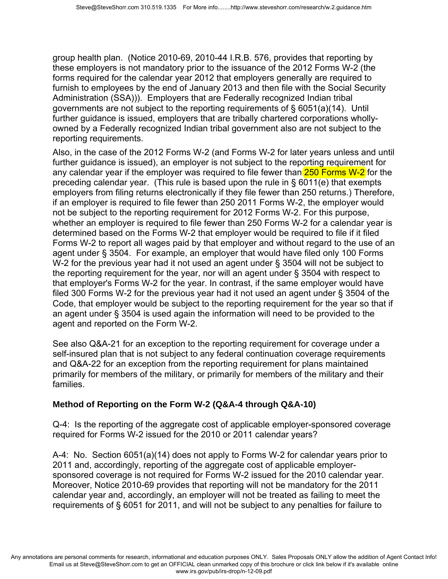group health plan. (Notice 2010-69, 2010-44 I.R.B. 576, provides that reporting by these employers is not mandatory prior to the issuance of the 2012 Forms W-2 (the forms required for the calendar year 2012 that employers generally are required to furnish to employees by the end of January 2013 and then file with the Social Security Administration (SSA))). Employers that are Federally recognized Indian tribal governments are not subject to the reporting requirements of § 6051(a)(14). Until further guidance is issued, employers that are tribally chartered corporations whollyowned by a Federally recognized Indian tribal government also are not subject to the reporting requirements.

Also, in the case of the 2012 Forms W-2 (and Forms W-2 for later years unless and until further guidance is issued), an employer is not subject to the reporting requirement for any calendar year if the employer was required to file fewer than 250 Forms W-2 for the preceding calendar year. (This rule is based upon the rule in § 6011(e) that exempts employers from filing returns electronically if they file fewer than 250 returns.) Therefore, if an employer is required to file fewer than 250 2011 Forms W-2, the employer would not be subject to the reporting requirement for 2012 Forms W-2. For this purpose, whether an employer is required to file fewer than 250 Forms W-2 for a calendar year is determined based on the Forms W-2 that employer would be required to file if it filed Forms W-2 to report all wages paid by that employer and without regard to the use of an agent under § 3504. For example, an employer that would have filed only 100 Forms W-2 for the previous year had it not used an agent under § 3504 will not be subject to the reporting requirement for the year, nor will an agent under § 3504 with respect to that employer's Forms W-2 for the year. In contrast, if the same employer would have filed 300 Forms W-2 for the previous year had it not used an agent under § 3504 of the Code, that employer would be subject to the reporting requirement for the year so that if an agent under § 3504 is used again the information will need to be provided to the agent and reported on the Form W-2.

See also Q&A-21 for an exception to the reporting requirement for coverage under a self-insured plan that is not subject to any federal continuation coverage requirements and Q&A-22 for an exception from the reporting requirement for plans maintained primarily for members of the military, or primarily for members of the military and their families.

# **Method of Reporting on the Form W-2 (Q&A-4 through Q&A-10)**

Q-4: Is the reporting of the aggregate cost of applicable employer-sponsored coverage required for Forms W-2 issued for the 2010 or 2011 calendar years?

A-4: No. Section 6051(a)(14) does not apply to Forms W-2 for calendar years prior to 2011 and, accordingly, reporting of the aggregate cost of applicable employersponsored coverage is not required for Forms W-2 issued for the 2010 calendar year. Moreover, Notice 2010-69 provides that reporting will not be mandatory for the 2011 calendar year and, accordingly, an employer will not be treated as failing to meet the requirements of § 6051 for 2011, and will not be subject to any penalties for failure to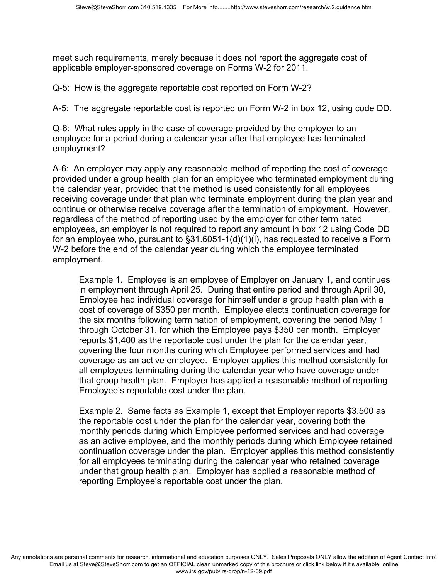meet such requirements, merely because it does not report the aggregate cost of applicable employer-sponsored coverage on Forms W-2 for 2011.

Q-5: How is the aggregate reportable cost reported on Form W-2?

A-5: The aggregate reportable cost is reported on Form W-2 in box 12, using code DD.

Q-6: What rules apply in the case of coverage provided by the employer to an employee for a period during a calendar year after that employee has terminated employment?

A-6: An employer may apply any reasonable method of reporting the cost of coverage provided under a group health plan for an employee who terminated employment during the calendar year, provided that the method is used consistently for all employees receiving coverage under that plan who terminate employment during the plan year and continue or otherwise receive coverage after the termination of employment. However, regardless of the method of reporting used by the employer for other terminated employees, an employer is not required to report any amount in box 12 using Code DD for an employee who, pursuant to §31.6051-1(d)(1)(i), has requested to receive a Form W-2 before the end of the calendar year during which the employee terminated employment.

Example 1. Employee is an employee of Employer on January 1, and continues in employment through April 25. During that entire period and through April 30, Employee had individual coverage for himself under a group health plan with a cost of coverage of \$350 per month. Employee elects continuation coverage for the six months following termination of employment, covering the period May 1 through October 31, for which the Employee pays \$350 per month. Employer reports \$1,400 as the reportable cost under the plan for the calendar year, covering the four months during which Employee performed services and had coverage as an active employee. Employer applies this method consistently for all employees terminating during the calendar year who have coverage under that group health plan. Employer has applied a reasonable method of reporting Employee's reportable cost under the plan.

Example 2. Same facts as Example 1, except that Employer reports \$3,500 as the reportable cost under the plan for the calendar year, covering both the monthly periods during which Employee performed services and had coverage as an active employee, and the monthly periods during which Employee retained continuation coverage under the plan. Employer applies this method consistently for all employees terminating during the calendar year who retained coverage under that group health plan. Employer has applied a reasonable method of reporting Employee's reportable cost under the plan.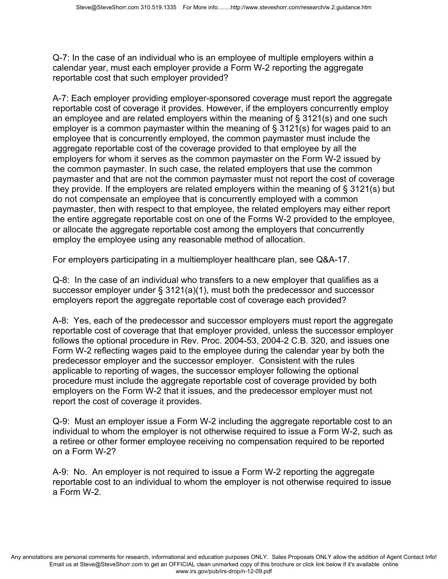Q-7: In the case of an individual who is an employee of multiple employers within a calendar year, must each employer provide a Form W-2 reporting the aggregate reportable cost that such employer provided?

A-7: Each employer providing employer-sponsored coverage must report the aggregate reportable cost of coverage it provides. However, if the employers concurrently employ an employee and are related employers within the meaning of § 3121(s) and one such employer is a common paymaster within the meaning of § 3121(s) for wages paid to an employee that is concurrently employed, the common paymaster must include the aggregate reportable cost of the coverage provided to that employee by all the employers for whom it serves as the common paymaster on the Form W-2 issued by the common paymaster. In such case, the related employers that use the common paymaster and that are not the common paymaster must not report the cost of coverage they provide. If the employers are related employers within the meaning of § 3121(s) but do not compensate an employee that is concurrently employed with a common paymaster, then with respect to that employee, the related employers may either report the entire aggregate reportable cost on one of the Forms W-2 provided to the employee, or allocate the aggregate reportable cost among the employers that concurrently employ the employee using any reasonable method of allocation.

For employers participating in a multiemployer healthcare plan, see Q&A-17.

Q-8: In the case of an individual who transfers to a new employer that qualifies as a successor employer under § 3121(a)(1), must both the predecessor and successor employers report the aggregate reportable cost of coverage each provided?

A-8: Yes, each of the predecessor and successor employers must report the aggregate reportable cost of coverage that that employer provided, unless the successor employer follows the optional procedure in Rev. Proc. 2004-53, 2004-2 C.B. 320, and issues one Form W-2 reflecting wages paid to the employee during the calendar year by both the predecessor employer and the successor employer. Consistent with the rules applicable to reporting of wages, the successor employer following the optional procedure must include the aggregate reportable cost of coverage provided by both employers on the Form W-2 that it issues, and the predecessor employer must not report the cost of coverage it provides.

Q-9: Must an employer issue a Form W-2 including the aggregate reportable cost to an individual to whom the employer is not otherwise required to issue a Form W-2, such as a retiree or other former employee receiving no compensation required to be reported on a Form W-2?

A-9: No. An employer is not required to issue a Form W-2 reporting the aggregate reportable cost to an individual to whom the employer is not otherwise required to issue a Form W-2.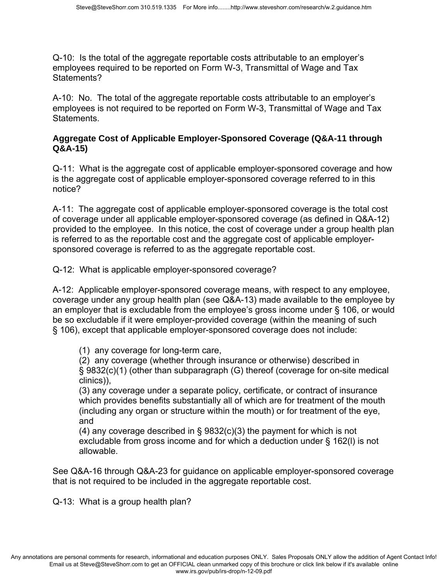Q-10: Is the total of the aggregate reportable costs attributable to an employer's employees required to be reported on Form W-3, Transmittal of Wage and Tax Statements?

A-10: No. The total of the aggregate reportable costs attributable to an employer's employees is not required to be reported on Form W-3, Transmittal of Wage and Tax Statements.

## **Aggregate Cost of Applicable Employer-Sponsored Coverage (Q&A-11 through Q&A-15)**

Q-11: What is the aggregate cost of applicable employer-sponsored coverage and how is the aggregate cost of applicable employer-sponsored coverage referred to in this notice?

A-11: The aggregate cost of applicable employer-sponsored coverage is the total cost of coverage under all applicable employer-sponsored coverage (as defined in Q&A-12) provided to the employee. In this notice, the cost of coverage under a group health plan is referred to as the reportable cost and the aggregate cost of applicable employersponsored coverage is referred to as the aggregate reportable cost.

Q-12: What is applicable employer-sponsored coverage?

A-12: Applicable employer-sponsored coverage means, with respect to any employee, coverage under any group health plan (see Q&A-13) made available to the employee by an employer that is excludable from the employee's gross income under § 106, or would be so excludable if it were employer-provided coverage (within the meaning of such § 106), except that applicable employer-sponsored coverage does not include:

(1) any coverage for long-term care,

(2) any coverage (whether through insurance or otherwise) described in § 9832(c)(1) (other than subparagraph (G) thereof (coverage for on-site medical clinics)),

(3) any coverage under a separate policy, certificate, or contract of insurance which provides benefits substantially all of which are for treatment of the mouth (including any organ or structure within the mouth) or for treatment of the eye, and

(4) any coverage described in § 9832(c)(3) the payment for which is not excludable from gross income and for which a deduction under § 162(l) is not allowable.

See Q&A-16 through Q&A-23 for guidance on applicable employer-sponsored coverage that is not required to be included in the aggregate reportable cost.

Q-13: What is a group health plan?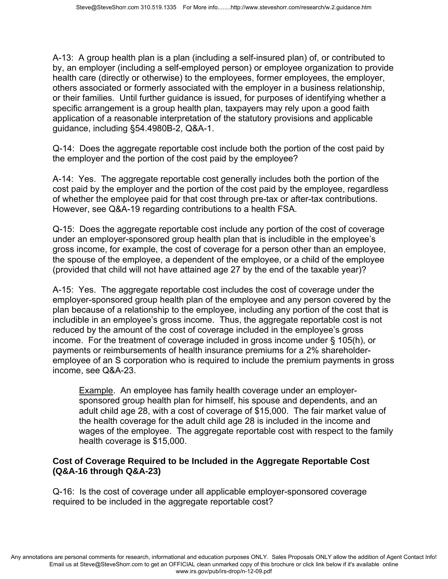A-13: A group health plan is a plan (including a self-insured plan) of, or contributed to by, an employer (including a self-employed person) or employee organization to provide health care (directly or otherwise) to the employees, former employees, the employer, others associated or formerly associated with the employer in a business relationship, or their families. Until further guidance is issued, for purposes of identifying whether a specific arrangement is a group health plan, taxpayers may rely upon a good faith application of a reasonable interpretation of the statutory provisions and applicable guidance, including §54.4980B-2, Q&A-1.

Q-14: Does the aggregate reportable cost include both the portion of the cost paid by the employer and the portion of the cost paid by the employee?

A-14: Yes. The aggregate reportable cost generally includes both the portion of the cost paid by the employer and the portion of the cost paid by the employee, regardless of whether the employee paid for that cost through pre-tax or after-tax contributions. However, see Q&A-19 regarding contributions to a health FSA.

Q-15: Does the aggregate reportable cost include any portion of the cost of coverage under an employer-sponsored group health plan that is includible in the employee's gross income, for example, the cost of coverage for a person other than an employee, the spouse of the employee, a dependent of the employee, or a child of the employee (provided that child will not have attained age 27 by the end of the taxable year)?

A-15: Yes. The aggregate reportable cost includes the cost of coverage under the employer-sponsored group health plan of the employee and any person covered by the plan because of a relationship to the employee, including any portion of the cost that is includible in an employee's gross income. Thus, the aggregate reportable cost is not reduced by the amount of the cost of coverage included in the employee's gross income. For the treatment of coverage included in gross income under § 105(h), or payments or reimbursements of health insurance premiums for a 2% shareholderemployee of an S corporation who is required to include the premium payments in gross income, see Q&A-23.

Example. An employee has family health coverage under an employersponsored group health plan for himself, his spouse and dependents, and an adult child age 28, with a cost of coverage of \$15,000. The fair market value of the health coverage for the adult child age 28 is included in the income and wages of the employee. The aggregate reportable cost with respect to the family health coverage is \$15,000.

#### **Cost of Coverage Required to be Included in the Aggregate Reportable Cost (Q&A-16 through Q&A-23)**

Q-16: Is the cost of coverage under all applicable employer-sponsored coverage required to be included in the aggregate reportable cost?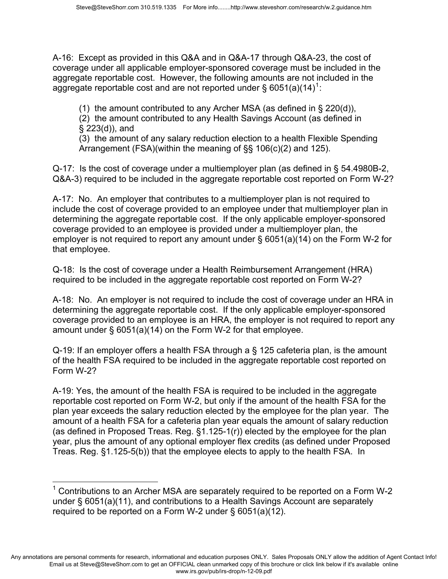A-16: Except as provided in this Q&A and in Q&A-17 through Q&A-23, the cost of coverage under all applicable employer-sponsored coverage must be included in the aggregate reportable cost. However, the following amounts are not included in the aggregate reportable cost and are not reported under § 605[1](#page-11-0)(a)(14)<sup>1</sup>:

(1) the amount contributed to any Archer MSA (as defined in § 220(d)),

(2) the amount contributed to any Health Savings Account (as defined in § 223(d)), and

(3) the amount of any salary reduction election to a health Flexible Spending Arrangement (FSA)(within the meaning of §§ 106(c)(2) and 125).

Q-17: Is the cost of coverage under a multiemployer plan (as defined in § 54.4980B-2, Q&A-3) required to be included in the aggregate reportable cost reported on Form W-2?

A-17: No. An employer that contributes to a multiemployer plan is not required to include the cost of coverage provided to an employee under that multiemployer plan in determining the aggregate reportable cost. If the only applicable employer-sponsored coverage provided to an employee is provided under a multiemployer plan, the employer is not required to report any amount under § 6051(a)(14) on the Form W-2 for that employee.

Q-18: Is the cost of coverage under a Health Reimbursement Arrangement (HRA) required to be included in the aggregate reportable cost reported on Form W-2?

A-18: No. An employer is not required to include the cost of coverage under an HRA in determining the aggregate reportable cost. If the only applicable employer-sponsored coverage provided to an employee is an HRA, the employer is not required to report any amount under § 6051(a)(14) on the Form W-2 for that employee.

Q-19: If an employer offers a health FSA through a § 125 cafeteria plan, is the amount of the health FSA required to be included in the aggregate reportable cost reported on Form W-2?

A-19: Yes, the amount of the health FSA is required to be included in the aggregate reportable cost reported on Form W-2, but only if the amount of the health FSA for the plan year exceeds the salary reduction elected by the employee for the plan year. The amount of a health FSA for a cafeteria plan year equals the amount of salary reduction (as defined in Proposed Treas. Reg. §1.125-1(r)) elected by the employee for the plan year, plus the amount of any optional employer flex credits (as defined under Proposed Treas. Reg. §1.125-5(b)) that the employee elects to apply to the health FSA. In

Any annotations are personal comments for research, informational and education purposes ONLY. Sales Proposals ONLY allow the addition of Agent Contact Info! Email us at Steve@SteveShorr.com to get an OFFICIAL clean unmarked copy of this brochure or click link below if it's available online www.irs.gov/pub/irs-drop/n-12-09.pdf

<span id="page-11-0"></span> $\overline{\phantom{a}}$  $1$  Contributions to an Archer MSA are separately required to be reported on a Form W-2 under § 6051(a)(11), and contributions to a Health Savings Account are separately required to be reported on a Form W-2 under § 6051(a)(12).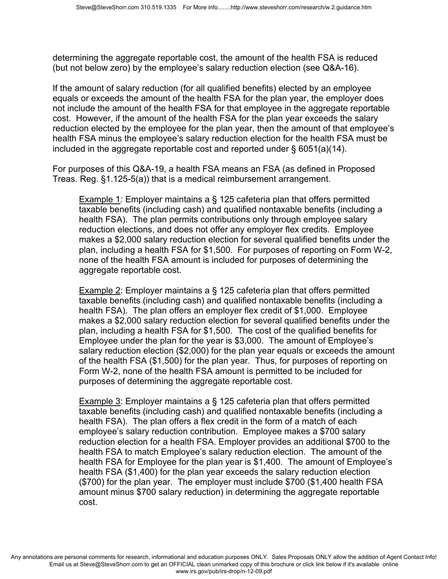determining the aggregate reportable cost, the amount of the health FSA is reduced (but not below zero) by the employee's salary reduction election (see Q&A-16).

If the amount of salary reduction (for all qualified benefits) elected by an employee equals or exceeds the amount of the health FSA for the plan year, the employer does not include the amount of the health FSA for that employee in the aggregate reportable cost. However, if the amount of the health FSA for the plan year exceeds the salary reduction elected by the employee for the plan year, then the amount of that employee's health FSA minus the employee's salary reduction election for the health FSA must be included in the aggregate reportable cost and reported under § 6051(a)(14).

For purposes of this Q&A-19, a health FSA means an FSA (as defined in Proposed Treas. Reg. §1.125-5(a)) that is a medical reimbursement arrangement.

Example 1*:* Employer maintains a § 125 cafeteria plan that offers permitted taxable benefits (including cash) and qualified nontaxable benefits (including a health FSA). The plan permits contributions only through employee salary reduction elections, and does not offer any employer flex credits. Employee makes a \$2,000 salary reduction election for several qualified benefits under the plan, including a health FSA for \$1,500. For purposes of reporting on Form W-2, none of the health FSA amount is included for purposes of determining the aggregate reportable cost.

Example 2: Employer maintains a § 125 cafeteria plan that offers permitted taxable benefits (including cash) and qualified nontaxable benefits (including a health FSA). The plan offers an employer flex credit of \$1,000. Employee makes a \$2,000 salary reduction election for several qualified benefits under the plan, including a health FSA for \$1,500. The cost of the qualified benefits for Employee under the plan for the year is \$3,000. The amount of Employee's salary reduction election (\$2,000) for the plan year equals or exceeds the amount of the health FSA (\$1,500) for the plan year. Thus, for purposes of reporting on Form W-2, none of the health FSA amount is permitted to be included for purposes of determining the aggregate reportable cost.

Example 3: Employer maintains a § 125 cafeteria plan that offers permitted taxable benefits (including cash) and qualified nontaxable benefits (including a health FSA). The plan offers a flex credit in the form of a match of each employee's salary reduction contribution. Employee makes a \$700 salary reduction election for a health FSA. Employer provides an additional \$700 to the health FSA to match Employee's salary reduction election. The amount of the health FSA for Employee for the plan year is \$1,400. The amount of Employee's health FSA (\$1,400) for the plan year exceeds the salary reduction election (\$700) for the plan year. The employer must include \$700 (\$1,400 health FSA amount minus \$700 salary reduction) in determining the aggregate reportable cost.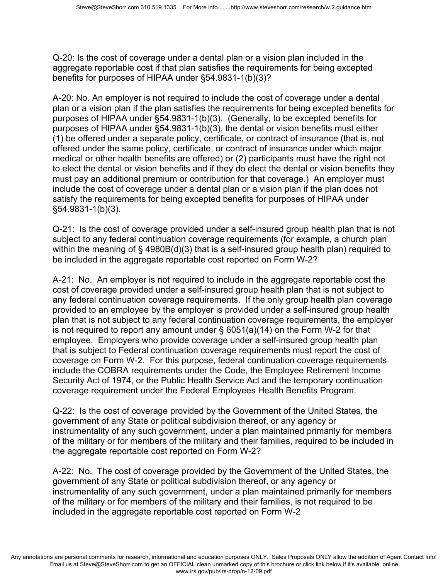Q-20: Is the cost of coverage under a dental plan or a vision plan included in the aggregate reportable cost if that plan satisfies the requirements for being excepted benefits for purposes of HIPAA under §54.9831-1(b)(3)?

A-20: No. An employer is not required to include the cost of coverage under a dental plan or a vision plan if the plan satisfies the requirements for being excepted benefits for purposes of HIPAA under §54.9831-1(b)(3). (Generally, to be excepted benefits for purposes of HIPAA under §54.9831-1(b)(3), the dental or vision benefits must either (1) be offered under a separate policy, certificate, or contract of insurance (that is, not offered under the same policy, certificate, or contract of insurance under which major medical or other health benefits are offered) or (2) participants must have the right not to elect the dental or vision benefits and if they do elect the dental or vision benefits they must pay an additional premium or contribution for that coverage.) An employer must include the cost of coverage under a dental plan or a vision plan if the plan does not satisfy the requirements for being excepted benefits for purposes of HIPAA under §54.9831-1(b)(3).

Q-21: Is the cost of coverage provided under a self-insured group health plan that is not subject to any federal continuation coverage requirements (for example, a church plan within the meaning of § 4980B(d)(3) that is a self-insured group health plan) required to be included in the aggregate reportable cost reported on Form W-2?

A-21: No. An employer is not required to include in the aggregate reportable cost the cost of coverage provided under a self-insured group health plan that is not subject to any federal continuation coverage requirements. If the only group health plan coverage provided to an employee by the employer is provided under a self-insured group health plan that is not subject to any federal continuation coverage requirements, the employer is not required to report any amount under § 6051(a)(14) on the Form W-2 for that employee. Employers who provide coverage under a self-insured group health plan that is subject to Federal continuation coverage requirements must report the cost of coverage on Form W-2. For this purpose, federal continuation coverage requirements include the COBRA requirements under the Code, the Employee Retirement Income Security Act of 1974, or the Public Health Service Act and the temporary continuation coverage requirement under the Federal Employees Health Benefits Program.

Q-22: Is the cost of coverage provided by the Government of the United States, the government of any State or political subdivision thereof, or any agency or instrumentality of any such government, under a plan maintained primarily for members of the military or for members of the military and their families, required to be included in the aggregate reportable cost reported on Form W-2?

A-22: No. The cost of coverage provided by the Government of the United States, the government of any State or political subdivision thereof, or any agency or instrumentality of any such government, under a plan maintained primarily for members of the military or for members of the military and their families, is not required to be included in the aggregate reportable cost reported on Form W-2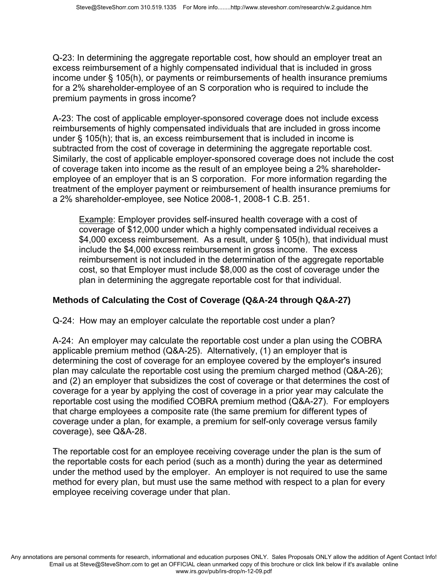Q-23: In determining the aggregate reportable cost, how should an employer treat an excess reimbursement of a highly compensated individual that is included in gross income under § 105(h), or payments or reimbursements of health insurance premiums for a 2% shareholder-employee of an S corporation who is required to include the premium payments in gross income?

A-23: The cost of applicable employer-sponsored coverage does not include excess reimbursements of highly compensated individuals that are included in gross income under § 105(h); that is, an excess reimbursement that is included in income is subtracted from the cost of coverage in determining the aggregate reportable cost. Similarly, the cost of applicable employer-sponsored coverage does not include the cost of coverage taken into income as the result of an employee being a 2% shareholderemployee of an employer that is an S corporation. For more information regarding the treatment of the employer payment or reimbursement of health insurance premiums for a 2% shareholder-employee, see Notice 2008-1, 2008-1 C.B. 251.

Example: Employer provides self-insured health coverage with a cost of coverage of \$12,000 under which a highly compensated individual receives a \$4,000 excess reimbursement. As a result, under § 105(h), that individual must include the \$4,000 excess reimbursement in gross income. The excess reimbursement is not included in the determination of the aggregate reportable cost, so that Employer must include \$8,000 as the cost of coverage under the plan in determining the aggregate reportable cost for that individual.

# **Methods of Calculating the Cost of Coverage (Q&A-24 through Q&A-27)**

Q-24: How may an employer calculate the reportable cost under a plan?

A-24: An employer may calculate the reportable cost under a plan using the COBRA applicable premium method (Q&A-25). Alternatively, (1) an employer that is determining the cost of coverage for an employee covered by the employer's insured plan may calculate the reportable cost using the premium charged method (Q&A-26); and (2) an employer that subsidizes the cost of coverage or that determines the cost of coverage for a year by applying the cost of coverage in a prior year may calculate the reportable cost using the modified COBRA premium method (Q&A-27). For employers that charge employees a composite rate (the same premium for different types of coverage under a plan, for example, a premium for self-only coverage versus family coverage), see Q&A-28.

The reportable cost for an employee receiving coverage under the plan is the sum of the reportable costs for each period (such as a month) during the year as determined under the method used by the employer. An employer is not required to use the same method for every plan, but must use the same method with respect to a plan for every employee receiving coverage under that plan.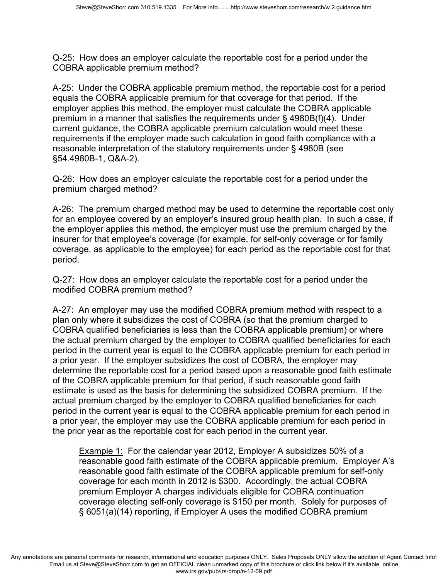Q-25: How does an employer calculate the reportable cost for a period under the COBRA applicable premium method?

A-25: Under the COBRA applicable premium method, the reportable cost for a period equals the COBRA applicable premium for that coverage for that period. If the employer applies this method, the employer must calculate the COBRA applicable premium in a manner that satisfies the requirements under § 4980B(f)(4). Under current guidance, the COBRA applicable premium calculation would meet these requirements if the employer made such calculation in good faith compliance with a reasonable interpretation of the statutory requirements under § 4980B (see §54.4980B-1, Q&A-2).

Q-26: How does an employer calculate the reportable cost for a period under the premium charged method?

A-26: The premium charged method may be used to determine the reportable cost only for an employee covered by an employer's insured group health plan. In such a case, if the employer applies this method, the employer must use the premium charged by the insurer for that employee's coverage (for example, for self-only coverage or for family coverage, as applicable to the employee) for each period as the reportable cost for that period.

Q-27: How does an employer calculate the reportable cost for a period under the modified COBRA premium method?

A-27: An employer may use the modified COBRA premium method with respect to a plan only where it subsidizes the cost of COBRA (so that the premium charged to COBRA qualified beneficiaries is less than the COBRA applicable premium) or where the actual premium charged by the employer to COBRA qualified beneficiaries for each period in the current year is equal to the COBRA applicable premium for each period in a prior year. If the employer subsidizes the cost of COBRA, the employer may determine the reportable cost for a period based upon a reasonable good faith estimate of the COBRA applicable premium for that period, if such reasonable good faith estimate is used as the basis for determining the subsidized COBRA premium. If the actual premium charged by the employer to COBRA qualified beneficiaries for each period in the current year is equal to the COBRA applicable premium for each period in a prior year, the employer may use the COBRA applicable premium for each period in the prior year as the reportable cost for each period in the current year.

Example 1:For the calendar year 2012, Employer A subsidizes 50% of a reasonable good faith estimate of the COBRA applicable premium. Employer A's reasonable good faith estimate of the COBRA applicable premium for self-only coverage for each month in 2012 is \$300. Accordingly, the actual COBRA premium Employer A charges individuals eligible for COBRA continuation coverage electing self-only coverage is \$150 per month. Solely for purposes of § 6051(a)(14) reporting, if Employer A uses the modified COBRA premium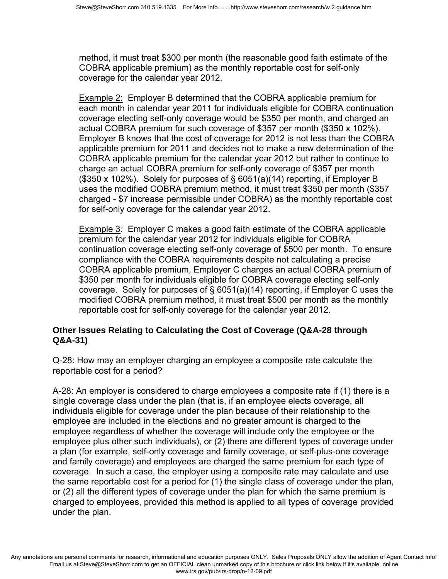method, it must treat \$300 per month (the reasonable good faith estimate of the COBRA applicable premium) as the monthly reportable cost for self-only coverage for the calendar year 2012.

Example 2: Employer B determined that the COBRA applicable premium for each month in calendar year 2011 for individuals eligible for COBRA continuation coverage electing self-only coverage would be \$350 per month, and charged an actual COBRA premium for such coverage of \$357 per month (\$350 x 102%). Employer B knows that the cost of coverage for 2012 is not less than the COBRA applicable premium for 2011 and decides not to make a new determination of the COBRA applicable premium for the calendar year 2012 but rather to continue to charge an actual COBRA premium for self-only coverage of \$357 per month (\$350 x 102%). Solely for purposes of § 6051(a)(14) reporting, if Employer B uses the modified COBRA premium method, it must treat \$350 per month (\$357 charged - \$7 increase permissible under COBRA) as the monthly reportable cost for self-only coverage for the calendar year 2012.

Example 3*:* Employer C makes a good faith estimate of the COBRA applicable premium for the calendar year 2012 for individuals eligible for COBRA continuation coverage electing self-only coverage of \$500 per month. To ensure compliance with the COBRA requirements despite not calculating a precise COBRA applicable premium, Employer C charges an actual COBRA premium of \$350 per month for individuals eligible for COBRA coverage electing self-only coverage. Solely for purposes of § 6051(a)(14) reporting, if Employer C uses the modified COBRA premium method, it must treat \$500 per month as the monthly reportable cost for self-only coverage for the calendar year 2012.

## **Other Issues Relating to Calculating the Cost of Coverage (Q&A-28 through Q&A-31)**

Q-28: How may an employer charging an employee a composite rate calculate the reportable cost for a period?

A-28: An employer is considered to charge employees a composite rate if (1) there is a single coverage class under the plan (that is, if an employee elects coverage, all individuals eligible for coverage under the plan because of their relationship to the employee are included in the elections and no greater amount is charged to the employee regardless of whether the coverage will include only the employee or the employee plus other such individuals), or (2) there are different types of coverage under a plan (for example, self-only coverage and family coverage, or self-plus-one coverage and family coverage) and employees are charged the same premium for each type of coverage. In such a case, the employer using a composite rate may calculate and use the same reportable cost for a period for (1) the single class of coverage under the plan, or (2) all the different types of coverage under the plan for which the same premium is charged to employees, provided this method is applied to all types of coverage provided under the plan.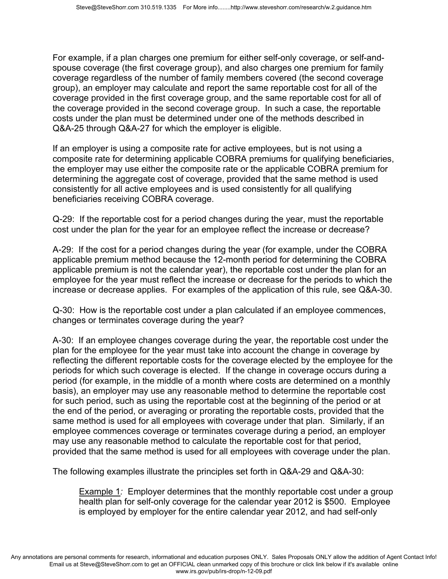For example, if a plan charges one premium for either self-only coverage, or self-andspouse coverage (the first coverage group), and also charges one premium for family coverage regardless of the number of family members covered (the second coverage group), an employer may calculate and report the same reportable cost for all of the coverage provided in the first coverage group, and the same reportable cost for all of the coverage provided in the second coverage group. In such a case, the reportable costs under the plan must be determined under one of the methods described in Q&A-25 through Q&A-27 for which the employer is eligible.

If an employer is using a composite rate for active employees, but is not using a composite rate for determining applicable COBRA premiums for qualifying beneficiaries, the employer may use either the composite rate or the applicable COBRA premium for determining the aggregate cost of coverage, provided that the same method is used consistently for all active employees and is used consistently for all qualifying beneficiaries receiving COBRA coverage.

Q-29: If the reportable cost for a period changes during the year, must the reportable cost under the plan for the year for an employee reflect the increase or decrease?

A-29: If the cost for a period changes during the year (for example, under the COBRA applicable premium method because the 12-month period for determining the COBRA applicable premium is not the calendar year), the reportable cost under the plan for an employee for the year must reflect the increase or decrease for the periods to which the increase or decrease applies. For examples of the application of this rule, see Q&A-30.

Q-30: How is the reportable cost under a plan calculated if an employee commences, changes or terminates coverage during the year?

A-30: If an employee changes coverage during the year, the reportable cost under the plan for the employee for the year must take into account the change in coverage by reflecting the different reportable costs for the coverage elected by the employee for the periods for which such coverage is elected. If the change in coverage occurs during a period (for example, in the middle of a month where costs are determined on a monthly basis), an employer may use any reasonable method to determine the reportable cost for such period, such as using the reportable cost at the beginning of the period or at the end of the period, or averaging or prorating the reportable costs, provided that the same method is used for all employees with coverage under that plan. Similarly, if an employee commences coverage or terminates coverage during a period, an employer may use any reasonable method to calculate the reportable cost for that period, provided that the same method is used for all employees with coverage under the plan.

The following examples illustrate the principles set forth in Q&A-29 and Q&A-30:

Example 1*:* Employer determines that the monthly reportable cost under a group health plan for self-only coverage for the calendar year 2012 is \$500. Employee is employed by employer for the entire calendar year 2012, and had self-only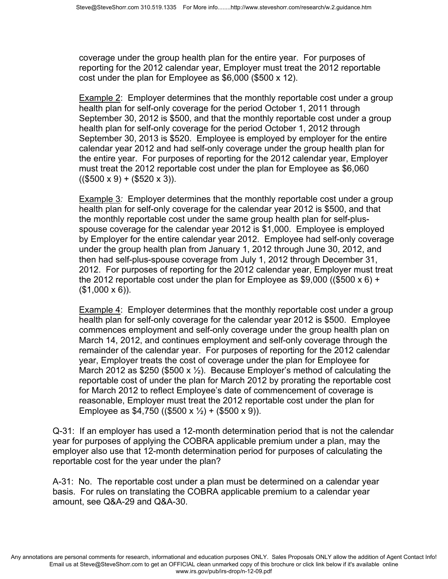coverage under the group health plan for the entire year. For purposes of reporting for the 2012 calendar year, Employer must treat the 2012 reportable cost under the plan for Employee as \$6,000 (\$500 x 12).

Example 2: Employer determines that the monthly reportable cost under a group health plan for self-only coverage for the period October 1, 2011 through September 30, 2012 is \$500, and that the monthly reportable cost under a group health plan for self-only coverage for the period October 1, 2012 through September 30, 2013 is \$520. Employee is employed by employer for the entire calendar year 2012 and had self-only coverage under the group health plan for the entire year. For purposes of reporting for the 2012 calendar year, Employer must treat the 2012 reportable cost under the plan for Employee as \$6,060  $(($500 x 9) + ($20 x 3))$ .

Example 3*:* Employer determines that the monthly reportable cost under a group health plan for self-only coverage for the calendar year 2012 is \$500, and that the monthly reportable cost under the same group health plan for self-plusspouse coverage for the calendar year 2012 is \$1,000. Employee is employed by Employer for the entire calendar year 2012. Employee had self-only coverage under the group health plan from January 1, 2012 through June 30, 2012, and then had self-plus-spouse coverage from July 1, 2012 through December 31, 2012. For purposes of reporting for the 2012 calendar year, Employer must treat the 2012 reportable cost under the plan for Employee as \$9,000 ((\$500 x 6) + (\$1,000 x 6)).

Example 4: Employer determines that the monthly reportable cost under a group health plan for self-only coverage for the calendar year 2012 is \$500. Employee commences employment and self-only coverage under the group health plan on March 14, 2012, and continues employment and self-only coverage through the remainder of the calendar year. For purposes of reporting for the 2012 calendar year, Employer treats the cost of coverage under the plan for Employee for March 2012 as \$250 (\$500 x  $\frac{1}{2}$ ). Because Employer's method of calculating the reportable cost of under the plan for March 2012 by prorating the reportable cost for March 2012 to reflect Employee's date of commencement of coverage is reasonable, Employer must treat the 2012 reportable cost under the plan for Employee as \$4,750 ((\$500 x  $\frac{1}{2}$ ) + (\$500 x 9)).

Q-31: If an employer has used a 12-month determination period that is not the calendar year for purposes of applying the COBRA applicable premium under a plan, may the employer also use that 12-month determination period for purposes of calculating the reportable cost for the year under the plan?

A-31: No. The reportable cost under a plan must be determined on a calendar year basis. For rules on translating the COBRA applicable premium to a calendar year amount, see Q&A-29 and Q&A-30.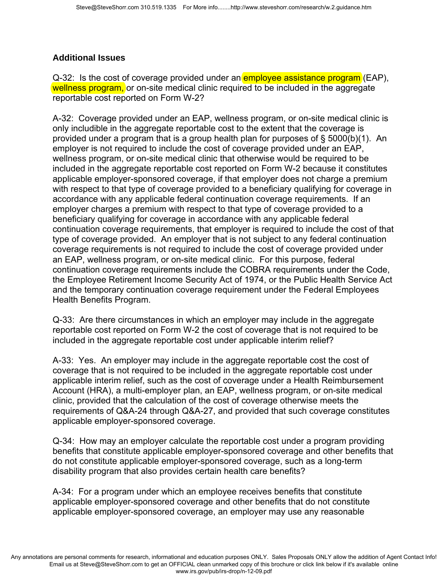# **Additional Issues**

Q-32: Is the cost of coverage provided under an **employee assistance program** (EAP), wellness program, or on-site medical clinic required to be included in the aggregate reportable cost reported on Form W-2?

A-32: Coverage provided under an EAP, wellness program, or on-site medical clinic is only includible in the aggregate reportable cost to the extent that the coverage is provided under a program that is a group health plan for purposes of § 5000(b)(1). An employer is not required to include the cost of coverage provided under an EAP, wellness program, or on-site medical clinic that otherwise would be required to be included in the aggregate reportable cost reported on Form W-2 because it constitutes applicable employer-sponsored coverage, if that employer does not charge a premium with respect to that type of coverage provided to a beneficiary qualifying for coverage in accordance with any applicable federal continuation coverage requirements. If an employer charges a premium with respect to that type of coverage provided to a beneficiary qualifying for coverage in accordance with any applicable federal continuation coverage requirements, that employer is required to include the cost of that type of coverage provided. An employer that is not subject to any federal continuation coverage requirements is not required to include the cost of coverage provided under an EAP, wellness program, or on-site medical clinic. For this purpose, federal continuation coverage requirements include the COBRA requirements under the Code, the Employee Retirement Income Security Act of 1974, or the Public Health Service Act and the temporary continuation coverage requirement under the Federal Employees Health Benefits Program.

Q-33: Are there circumstances in which an employer may include in the aggregate reportable cost reported on Form W-2 the cost of coverage that is not required to be included in the aggregate reportable cost under applicable interim relief?

A-33: Yes. An employer may include in the aggregate reportable cost the cost of coverage that is not required to be included in the aggregate reportable cost under applicable interim relief, such as the cost of coverage under a Health Reimbursement Account (HRA), a multi-employer plan, an EAP, wellness program, or on-site medical clinic, provided that the calculation of the cost of coverage otherwise meets the requirements of Q&A-24 through Q&A-27, and provided that such coverage constitutes applicable employer-sponsored coverage.

Q-34: How may an employer calculate the reportable cost under a program providing benefits that constitute applicable employer-sponsored coverage and other benefits that do not constitute applicable employer-sponsored coverage, such as a long-term disability program that also provides certain health care benefits?

A-34: For a program under which an employee receives benefits that constitute applicable employer-sponsored coverage and other benefits that do not constitute applicable employer-sponsored coverage, an employer may use any reasonable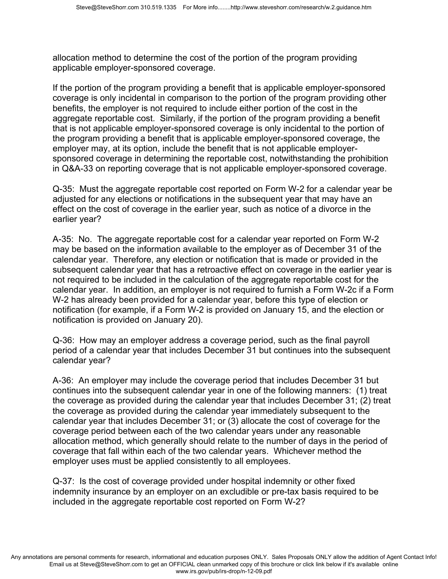allocation method to determine the cost of the portion of the program providing applicable employer-sponsored coverage.

If the portion of the program providing a benefit that is applicable employer-sponsored coverage is only incidental in comparison to the portion of the program providing other benefits, the employer is not required to include either portion of the cost in the aggregate reportable cost. Similarly, if the portion of the program providing a benefit that is not applicable employer-sponsored coverage is only incidental to the portion of the program providing a benefit that is applicable employer-sponsored coverage, the employer may, at its option, include the benefit that is not applicable employersponsored coverage in determining the reportable cost, notwithstanding the prohibition in Q&A-33 on reporting coverage that is not applicable employer-sponsored coverage.

Q-35: Must the aggregate reportable cost reported on Form W-2 for a calendar year be adjusted for any elections or notifications in the subsequent year that may have an effect on the cost of coverage in the earlier year, such as notice of a divorce in the earlier year?

A-35: No. The aggregate reportable cost for a calendar year reported on Form W-2 may be based on the information available to the employer as of December 31 of the calendar year. Therefore, any election or notification that is made or provided in the subsequent calendar year that has a retroactive effect on coverage in the earlier year is not required to be included in the calculation of the aggregate reportable cost for the calendar year. In addition, an employer is not required to furnish a Form W-2c if a Form W-2 has already been provided for a calendar year, before this type of election or notification (for example, if a Form W-2 is provided on January 15, and the election or notification is provided on January 20).

Q-36: How may an employer address a coverage period, such as the final payroll period of a calendar year that includes December 31 but continues into the subsequent calendar year?

A-36: An employer may include the coverage period that includes December 31 but continues into the subsequent calendar year in one of the following manners: (1) treat the coverage as provided during the calendar year that includes December 31; (2) treat the coverage as provided during the calendar year immediately subsequent to the calendar year that includes December 31; or (3) allocate the cost of coverage for the coverage period between each of the two calendar years under any reasonable allocation method, which generally should relate to the number of days in the period of coverage that fall within each of the two calendar years. Whichever method the employer uses must be applied consistently to all employees.

Q-37: Is the cost of coverage provided under hospital indemnity or other fixed indemnity insurance by an employer on an excludible or pre-tax basis required to be included in the aggregate reportable cost reported on Form W-2?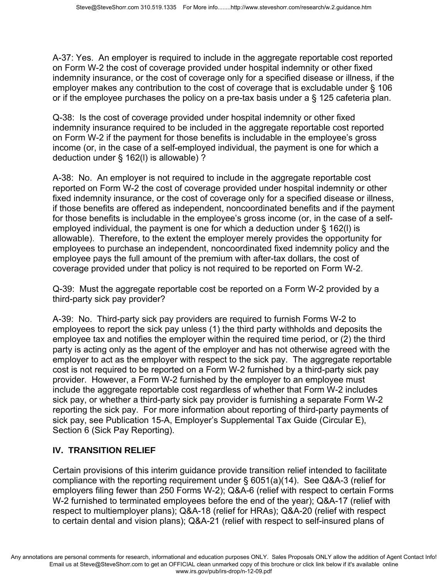A-37: Yes. An employer is required to include in the aggregate reportable cost reported on Form W-2 the cost of coverage provided under hospital indemnity or other fixed indemnity insurance, or the cost of coverage only for a specified disease or illness, if the employer makes any contribution to the cost of coverage that is excludable under § 106 or if the employee purchases the policy on a pre-tax basis under a § 125 cafeteria plan.

Q-38: Is the cost of coverage provided under hospital indemnity or other fixed indemnity insurance required to be included in the aggregate reportable cost reported on Form W-2 if the payment for those benefits is includable in the employee's gross income (or, in the case of a self-employed individual, the payment is one for which a deduction under § 162(l) is allowable) ?

A-38: No. An employer is not required to include in the aggregate reportable cost reported on Form W-2 the cost of coverage provided under hospital indemnity or other fixed indemnity insurance, or the cost of coverage only for a specified disease or illness, if those benefits are offered as independent, noncoordinated benefits and if the payment for those benefits is includable in the employee's gross income (or, in the case of a selfemployed individual, the payment is one for which a deduction under § 162(l) is allowable). Therefore, to the extent the employer merely provides the opportunity for employees to purchase an independent, noncoordinated fixed indemnity policy and the employee pays the full amount of the premium with after-tax dollars, the cost of coverage provided under that policy is not required to be reported on Form W-2.

Q-39: Must the aggregate reportable cost be reported on a Form W-2 provided by a third-party sick pay provider?

A-39: No. Third-party sick pay providers are required to furnish Forms W-2 to employees to report the sick pay unless (1) the third party withholds and deposits the employee tax and notifies the employer within the required time period, or (2) the third party is acting only as the agent of the employer and has not otherwise agreed with the employer to act as the employer with respect to the sick pay. The aggregate reportable cost is not required to be reported on a Form W-2 furnished by a third-party sick pay provider. However, a Form W-2 furnished by the employer to an employee must include the aggregate reportable cost regardless of whether that Form W-2 includes sick pay, or whether a third-party sick pay provider is furnishing a separate Form W-2 reporting the sick pay. For more information about reporting of third-party payments of sick pay, see Publication 15-A, Employer's Supplemental Tax Guide (Circular E), Section 6 (Sick Pay Reporting).

# **IV. TRANSITION RELIEF**

Certain provisions of this interim guidance provide transition relief intended to facilitate compliance with the reporting requirement under § 6051(a)(14). See Q&A-3 (relief for employers filing fewer than 250 Forms W-2); Q&A-6 (relief with respect to certain Forms W-2 furnished to terminated employees before the end of the year); Q&A-17 (relief with respect to multiemployer plans); Q&A-18 (relief for HRAs); Q&A-20 (relief with respect to certain dental and vision plans); Q&A-21 (relief with respect to self-insured plans of